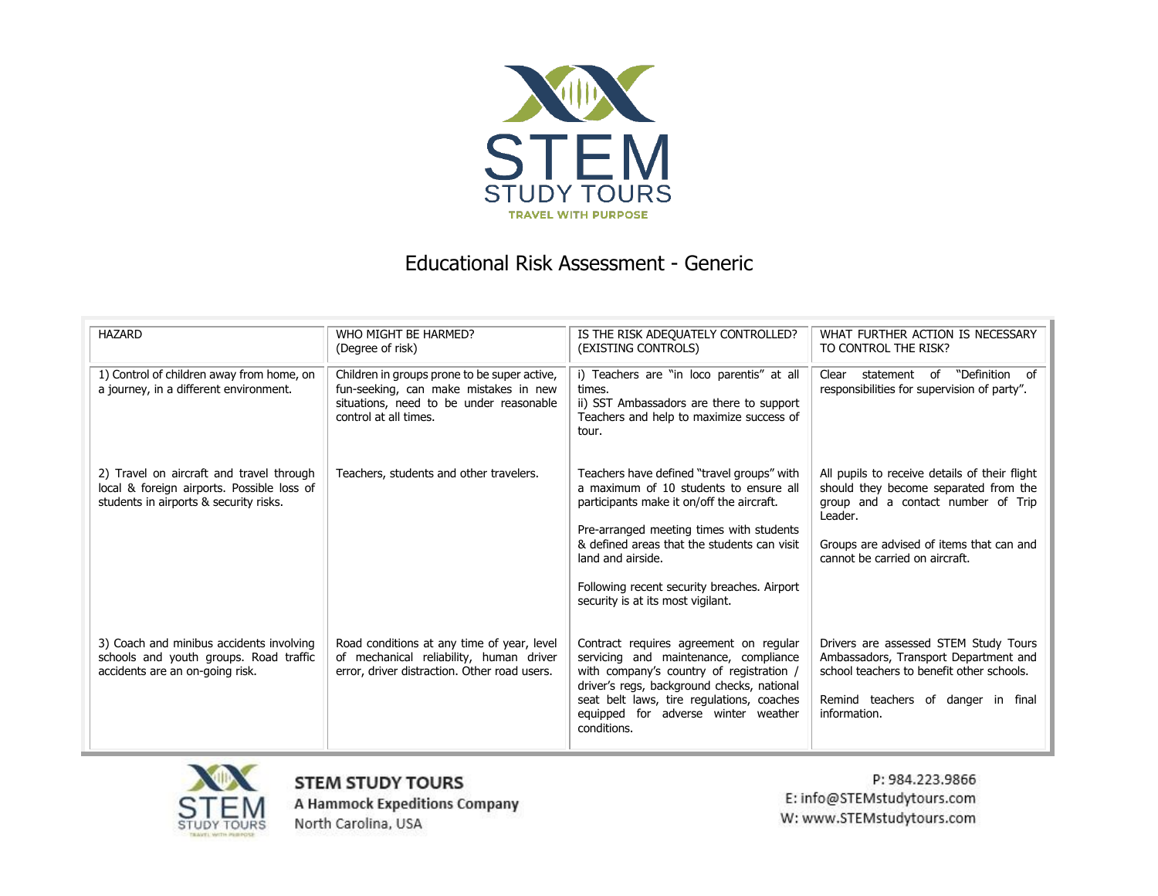

## Educational Risk Assessment - Generic

| <b>HAZARD</b>                                                                                                                    | WHO MIGHT BE HARMED?<br>(Degree of risk)                                                                                                                  | IS THE RISK ADEQUATELY CONTROLLED?<br>(EXISTING CONTROLS)                                                                                                                                                                                                                                                                             | WHAT FURTHER ACTION IS NECESSARY<br>TO CONTROL THE RISK?                                                                                                                                                              |
|----------------------------------------------------------------------------------------------------------------------------------|-----------------------------------------------------------------------------------------------------------------------------------------------------------|---------------------------------------------------------------------------------------------------------------------------------------------------------------------------------------------------------------------------------------------------------------------------------------------------------------------------------------|-----------------------------------------------------------------------------------------------------------------------------------------------------------------------------------------------------------------------|
| 1) Control of children away from home, on<br>a journey, in a different environment.                                              | Children in groups prone to be super active,<br>fun-seeking, can make mistakes in new<br>situations, need to be under reasonable<br>control at all times. | i) Teachers are "in loco parentis" at all<br>times.<br>ii) SST Ambassadors are there to support<br>Teachers and help to maximize success of<br>tour.                                                                                                                                                                                  | "Definition of<br>Clear statement of<br>responsibilities for supervision of party".                                                                                                                                   |
| 2) Travel on aircraft and travel through<br>local & foreign airports. Possible loss of<br>students in airports & security risks. | Teachers, students and other travelers.                                                                                                                   | Teachers have defined "travel groups" with<br>a maximum of 10 students to ensure all<br>participants make it on/off the aircraft.<br>Pre-arranged meeting times with students<br>& defined areas that the students can visit<br>land and airside.<br>Following recent security breaches. Airport<br>security is at its most vigilant. | All pupils to receive details of their flight<br>should they become separated from the<br>group and a contact number of Trip<br>Leader.<br>Groups are advised of items that can and<br>cannot be carried on aircraft. |
| 3) Coach and minibus accidents involving<br>schools and youth groups. Road traffic<br>accidents are an on-going risk.            | Road conditions at any time of year, level<br>of mechanical reliability, human driver<br>error, driver distraction. Other road users.                     | Contract requires agreement on regular<br>servicing and maintenance, compliance<br>with company's country of registration /<br>driver's regs, background checks, national<br>seat belt laws, tire regulations, coaches<br>equipped for adverse winter weather<br>conditions.                                                          | Drivers are assessed STEM Study Tours<br>Ambassadors, Transport Department and<br>school teachers to benefit other schools.<br>Remind teachers of danger in final<br>information.                                     |



**STEM STUDY TOURS A Hammock Expeditions Company** North Carolina, USA

P: 984.223.9866 E: info@STEMstudytours.com W: www.STEMstudytours.com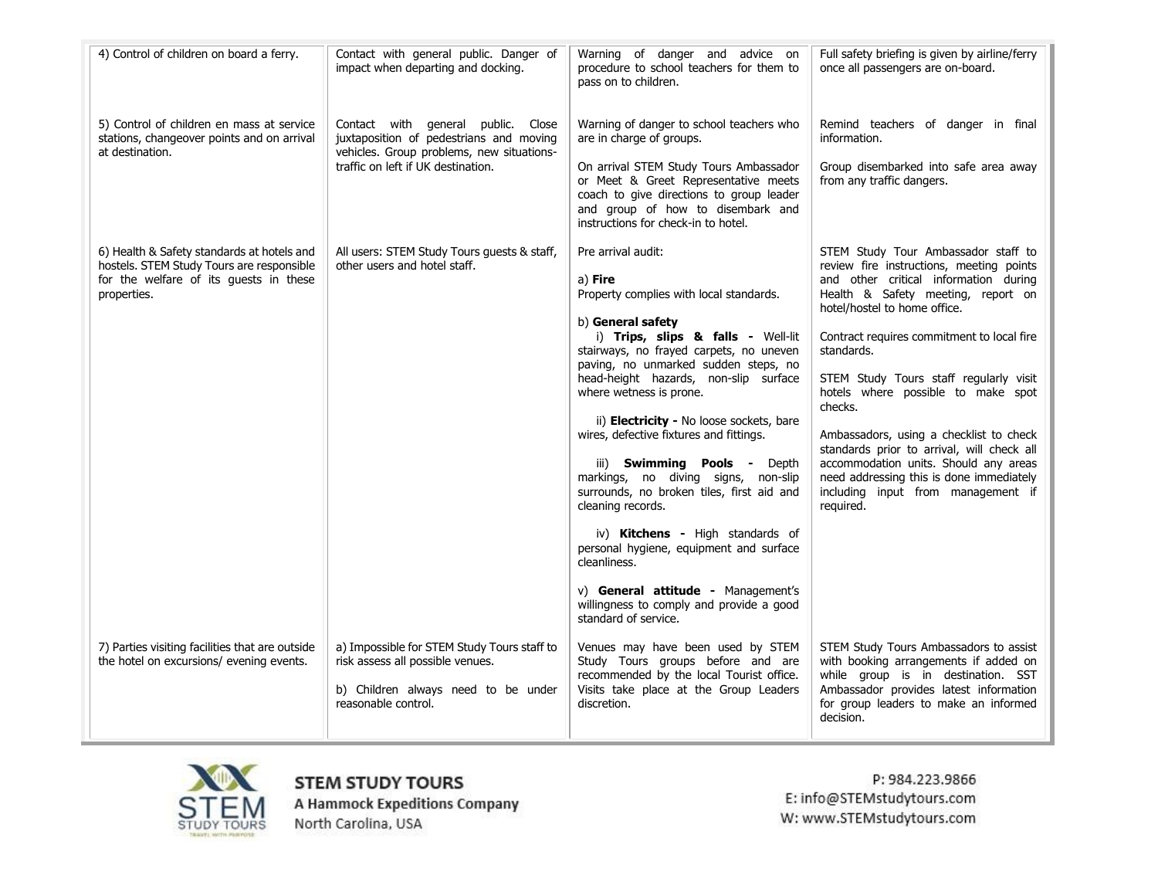| 4) Control of children on board a ferry.                                                                                                         | Contact with general public. Danger of<br>impact when departing and docking.                                                                                     | Warning of danger and advice on<br>procedure to school teachers for them to<br>pass on to children.                                                                                                                                                                                                                                                                                                                                                                                                                                                                                                                                                                                                                                | Full safety briefing is given by airline/ferry<br>once all passengers are on-board.                                                                                                                                                                                                                                                                                                                                                                                                                                                                                                    |
|--------------------------------------------------------------------------------------------------------------------------------------------------|------------------------------------------------------------------------------------------------------------------------------------------------------------------|------------------------------------------------------------------------------------------------------------------------------------------------------------------------------------------------------------------------------------------------------------------------------------------------------------------------------------------------------------------------------------------------------------------------------------------------------------------------------------------------------------------------------------------------------------------------------------------------------------------------------------------------------------------------------------------------------------------------------------|----------------------------------------------------------------------------------------------------------------------------------------------------------------------------------------------------------------------------------------------------------------------------------------------------------------------------------------------------------------------------------------------------------------------------------------------------------------------------------------------------------------------------------------------------------------------------------------|
| 5) Control of children en mass at service<br>stations, changeover points and on arrival<br>at destination.                                       | Contact with general public. Close<br>juxtaposition of pedestrians and moving<br>vehicles. Group problems, new situations-<br>traffic on left if UK destination. | Warning of danger to school teachers who<br>are in charge of groups.<br>On arrival STEM Study Tours Ambassador<br>or Meet & Greet Representative meets<br>coach to give directions to group leader<br>and group of how to disembark and<br>instructions for check-in to hotel.                                                                                                                                                                                                                                                                                                                                                                                                                                                     | Remind teachers of danger in final<br>information.<br>Group disembarked into safe area away<br>from any traffic dangers.                                                                                                                                                                                                                                                                                                                                                                                                                                                               |
| 6) Health & Safety standards at hotels and<br>hostels. STEM Study Tours are responsible<br>for the welfare of its guests in these<br>properties. | All users: STEM Study Tours guests & staff,<br>other users and hotel staff.                                                                                      | Pre arrival audit:<br>a) Fire<br>Property complies with local standards.<br>b) General safety<br>i) Trips, slips & falls - Well-lit<br>stairways, no frayed carpets, no uneven<br>paving, no unmarked sudden steps, no<br>head-height hazards, non-slip surface<br>where wetness is prone.<br>ii) Electricity - No loose sockets, bare<br>wires, defective fixtures and fittings.<br>iii) Swimming Pools - Depth<br>markings, no diving signs, non-slip<br>surrounds, no broken tiles, first aid and<br>cleaning records.<br>iv) Kitchens - High standards of<br>personal hygiene, equipment and surface<br>cleanliness.<br>v) General attitude - Management's<br>willingness to comply and provide a good<br>standard of service. | STEM Study Tour Ambassador staff to<br>review fire instructions, meeting points<br>and other critical information during<br>Health & Safety meeting, report on<br>hotel/hostel to home office.<br>Contract requires commitment to local fire<br>standards.<br>STEM Study Tours staff regularly visit<br>hotels where possible to make spot<br>checks.<br>Ambassadors, using a checklist to check<br>standards prior to arrival, will check all<br>accommodation units. Should any areas<br>need addressing this is done immediately<br>including input from management if<br>required. |
| 7) Parties visiting facilities that are outside<br>the hotel on excursions/ evening events.                                                      | a) Impossible for STEM Study Tours staff to<br>risk assess all possible venues.<br>b) Children always need to be under<br>reasonable control.                    | Venues may have been used by STEM<br>Study Tours groups before and are<br>recommended by the local Tourist office.<br>Visits take place at the Group Leaders<br>discretion.                                                                                                                                                                                                                                                                                                                                                                                                                                                                                                                                                        | STEM Study Tours Ambassadors to assist<br>with booking arrangements if added on<br>while group is in destination. SST<br>Ambassador provides latest information<br>for group leaders to make an informed<br>decision.                                                                                                                                                                                                                                                                                                                                                                  |